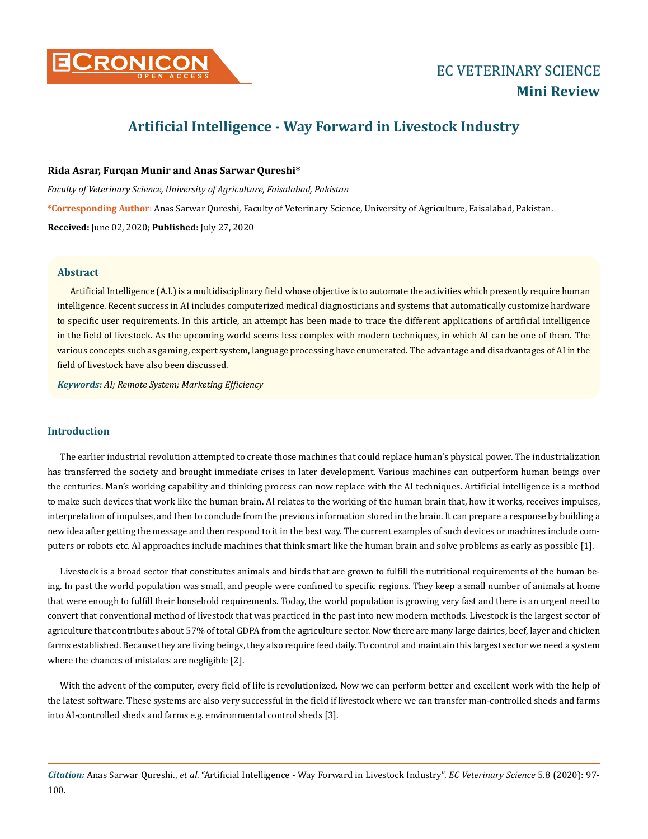

# **Artificial Intelligence - Way Forward in Livestock Industry**

## **Rida Asrar, Furqan Munir and Anas Sarwar Qureshi\***

*Faculty of Veterinary Science, University of Agriculture, Faisalabad, Pakistan*

**\*Corresponding Author**: Anas Sarwar Qureshi, Faculty of Veterinary Science, University of Agriculture, Faisalabad, Pakistan.

**Received:** June 02, 2020; **Published:** July 27, 2020

## **Abstract**

Artificial Intelligence (A.I.) is a multidisciplinary field whose objective is to automate the activities which presently require human intelligence. Recent success in AI includes computerized medical diagnosticians and systems that automatically customize hardware to specific user requirements. In this article, an attempt has been made to trace the different applications of artificial intelligence in the field of livestock. As the upcoming world seems less complex with modern techniques, in which AI can be one of them. The various concepts such as gaming, expert system, language processing have enumerated. The advantage and disadvantages of AI in the field of livestock have also been discussed.

*Keywords: AI; Remote System; Marketing Efficiency*

# **Introduction**

The earlier industrial revolution attempted to create those machines that could replace human's physical power. The industrialization has transferred the society and brought immediate crises in later development. Various machines can outperform human beings over the centuries. Man's working capability and thinking process can now replace with the AI techniques. Artificial intelligence is a method to make such devices that work like the human brain. AI relates to the working of the human brain that, how it works, receives impulses, interpretation of impulses, and then to conclude from the previous information stored in the brain. It can prepare a response by building a new idea after getting the message and then respond to it in the best way. The current examples of such devices or machines include computers or robots etc. AI approaches include machines that think smart like the human brain and solve problems as early as possible [1].

Livestock is a broad sector that constitutes animals and birds that are grown to fulfill the nutritional requirements of the human being. In past the world population was small, and people were confined to specific regions. They keep a small number of animals at home that were enough to fulfill their household requirements. Today, the world population is growing very fast and there is an urgent need to convert that conventional method of livestock that was practiced in the past into new modern methods. Livestock is the largest sector of agriculture that contributes about 57% of total GDPA from the agriculture sector. Now there are many large dairies, beef, layer and chicken farms established. Because they are living beings, they also require feed daily. To control and maintain this largest sector we need a system where the chances of mistakes are negligible [2].

With the advent of the computer, every field of life is revolutionized. Now we can perform better and excellent work with the help of the latest software. These systems are also very successful in the field if livestock where we can transfer man-controlled sheds and farms into AI-controlled sheds and farms e.g. environmental control sheds [3].

*Citation:* Anas Sarwar Qureshi., *et al*. "Artificial Intelligence - Way Forward in Livestock Industry". *EC Veterinary Science* 5.8 (2020): 97- 100.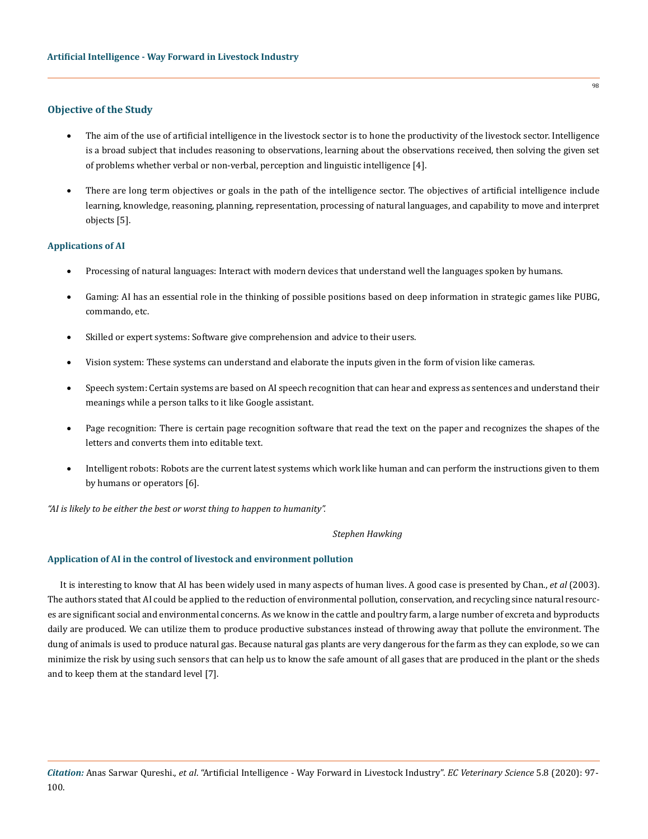# **Objective of the Study**

- The aim of the use of artificial intelligence in the livestock sector is to hone the productivity of the livestock sector. Intelligence is a broad subject that includes reasoning to observations, learning about the observations received, then solving the given set of problems whether verbal or non-verbal, perception and linguistic intelligence [4].
- There are long term objectives or goals in the path of the intelligence sector. The objectives of artificial intelligence include learning, knowledge, reasoning, planning, representation, processing of natural languages, and capability to move and interpret objects [5].

### **Applications of AI**

- Processing of natural languages: Interact with modern devices that understand well the languages spoken by humans.
- Gaming: AI has an essential role in the thinking of possible positions based on deep information in strategic games like PUBG, commando, etc.
- Skilled or expert systems: Software give comprehension and advice to their users.
- Vision system: These systems can understand and elaborate the inputs given in the form of vision like cameras.
- • Speech system: Certain systems are based on AI speech recognition that can hear and express as sentences and understand their meanings while a person talks to it like Google assistant.
- Page recognition: There is certain page recognition software that read the text on the paper and recognizes the shapes of the letters and converts them into editable text.
- Intelligent robots: Robots are the current latest systems which work like human and can perform the instructions given to them by humans or operators [6].

*"AI is likely to be either the best or worst thing to happen to humanity".* 

#### *Stephen Hawking*

## **Application of AI in the control of livestock and environment pollution**

It is interesting to know that AI has been widely used in many aspects of human lives. A good case is presented by Chan., *et al* (2003). The authors stated that AI could be applied to the reduction of environmental pollution, conservation, and recycling since natural resources are significant social and environmental concerns. As we know in the cattle and poultry farm, a large number of excreta and byproducts daily are produced. We can utilize them to produce productive substances instead of throwing away that pollute the environment. The dung of animals is used to produce natural gas. Because natural gas plants are very dangerous for the farm as they can explode, so we can minimize the risk by using such sensors that can help us to know the safe amount of all gases that are produced in the plant or the sheds and to keep them at the standard level [7].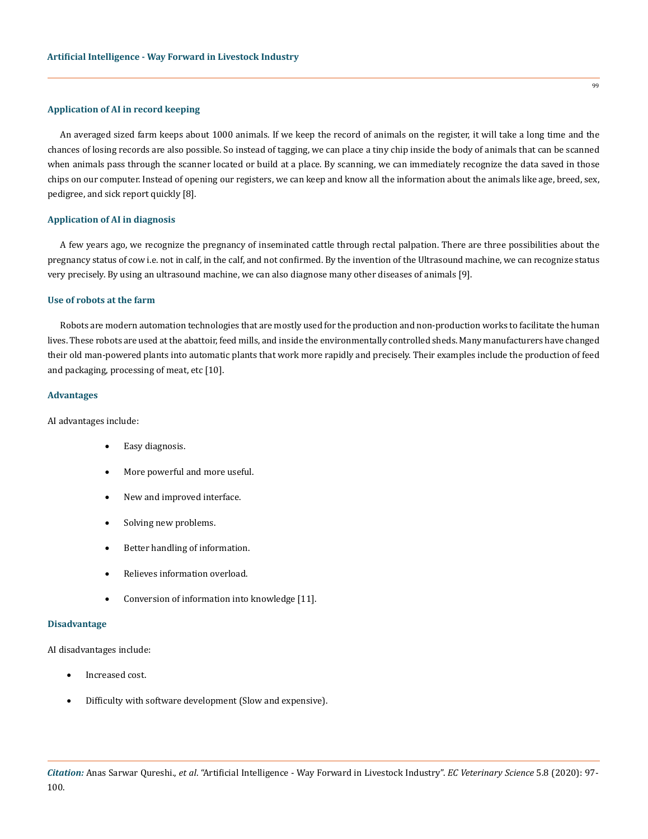## **Application of AI in record keeping**

An averaged sized farm keeps about 1000 animals. If we keep the record of animals on the register, it will take a long time and the chances of losing records are also possible. So instead of tagging, we can place a tiny chip inside the body of animals that can be scanned when animals pass through the scanner located or build at a place. By scanning, we can immediately recognize the data saved in those chips on our computer. Instead of opening our registers, we can keep and know all the information about the animals like age, breed, sex, pedigree, and sick report quickly [8].

#### **Application of AI in diagnosis**

A few years ago, we recognize the pregnancy of inseminated cattle through rectal palpation. There are three possibilities about the pregnancy status of cow i.e. not in calf, in the calf, and not confirmed. By the invention of the Ultrasound machine, we can recognize status very precisely. By using an ultrasound machine, we can also diagnose many other diseases of animals [9].

#### **Use of robots at the farm**

Robots are modern automation technologies that are mostly used for the production and non-production works to facilitate the human lives. These robots are used at the abattoir, feed mills, and inside the environmentally controlled sheds. Many manufacturers have changed their old man-powered plants into automatic plants that work more rapidly and precisely. Their examples include the production of feed and packaging, processing of meat, etc [10].

#### **Advantages**

AI advantages include:

- Easy diagnosis.
- More powerful and more useful.
- New and improved interface.
- Solving new problems.
- Better handling of information.
- Relieves information overload.
- Conversion of information into knowledge [11].

#### **Disadvantage**

AI disadvantages include:

- Increased cost.
- Difficulty with software development (Slow and expensive).